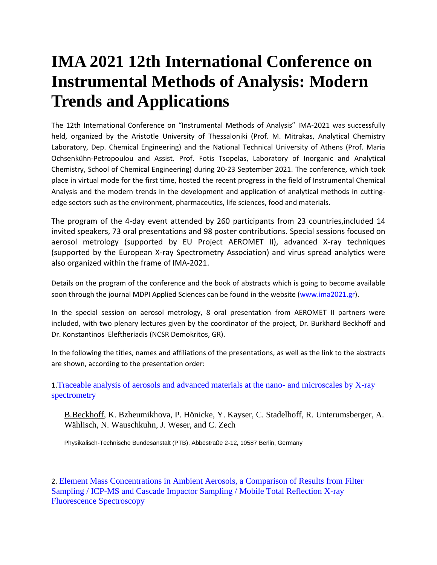## **IMA 2021 12th International Conference on Instrumental Methods of Analysis: Modern Trends and Applications**

The 12th International Conference on "Instrumental Methods of Analysis" IMA-2021 was successfully held, organized by the Aristotle University of Thessaloniki (Prof. M. Mitrakas, Analytical Chemistry Laboratory, Dep. Chemical Engineering) and the National Technical University of Athens (Prof. Maria Ochsenkühn-Petropoulou and Assist. Prof. Fotis Tsopelas, Laboratory of Inorganic and Analytical Chemistry, School of Chemical Engineering) during 20-23 September 2021. The conference, which took place in virtual mode for the first time, hosted the recent progress in the field of Instrumental Chemical Analysis and the modern trends in the development and application of analytical methods in cuttingedge sectors such as the environment, pharmaceutics, life sciences, food and materials.

The program of the 4-day event attended by 260 participants from 23 countries,included 14 invited speakers, 73 oral presentations and 98 poster contributions. Special sessions focused on aerosol metrology (supported by EU Project AEROMET II), advanced X-ray techniques (supported by the European X-ray Spectrometry Association) and virus spread analytics were also organized within the frame of IMA-2021.

Details on the program of the conference and the book of abstracts which is going to become available soon through the journal MDPI Applied Sciences can be found in the website [\(www.ima2021.gr\)](http://www.ima2021.gr/).

In the special session on aerosol metrology, 8 oral presentation from AEROMET II partners were included, with two plenary lectures given by the coordinator of the project, Dr. Burkhard Beckhoff and Dr. Konstantinos Eleftheriadis (NCSR Demokritos, GR).

In the following the titles, names and affiliations of the presentations, as well as the link to the abstracts are shown, according to the presentation order:

1.[Traceable analysis of aerosols and advanced materials at the nano-](http://www.aerometprojectii.com/wp-content/uploads/sites/65/2021/10/Traceable-analysis-of-aerosols-and-advanced-materials-at-the-nano.pdf) and microscales by X-ray [spectrometry](http://www.aerometprojectii.com/wp-content/uploads/sites/65/2021/10/Traceable-analysis-of-aerosols-and-advanced-materials-at-the-nano.pdf)

B.Beckhoff, K. Bzheumikhova, P. Hönicke, Y. Kayser, C. Stadelhoff, R. Unterumsberger, A. Wählisch, N. Wauschkuhn, J. Weser, and C. Zech

Physikalisch-Technische Bundesanstalt (PTB), Abbestraße 2-12, 10587 Berlin, Germany

2. [Element Mass Concentrations in Ambient Aerosols, a Comparison of Results from Filter](http://www.aerometprojectii.com/wp-content/uploads/sites/65/2021/10/Element-Mass-Concentrations-in-Ambient-Aerosols.pdf)  [Sampling / ICP-MS and Cascade Impactor Sampling / Mobile Total Reflection X-ray](http://www.aerometprojectii.com/wp-content/uploads/sites/65/2021/10/Element-Mass-Concentrations-in-Ambient-Aerosols.pdf)  [Fluorescence Spectroscopy](http://www.aerometprojectii.com/wp-content/uploads/sites/65/2021/10/Element-Mass-Concentrations-in-Ambient-Aerosols.pdf)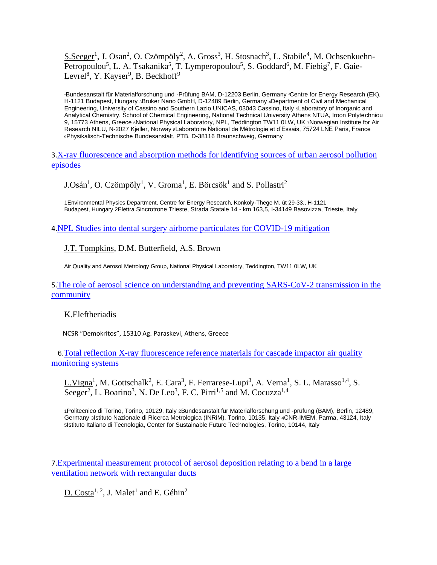S.Seeger<sup>1</sup>, J. Osan<sup>2</sup>, O. Czömpöly<sup>2</sup>, A. Gross<sup>3</sup>, H. Stosnach<sup>3</sup>, L. Stabile<sup>4</sup>, M. Ochsenkuehn-Petropoulou<sup>5</sup>, L. A. Tsakanika<sup>5</sup>, T. Lymperopoulou<sup>5</sup>, S. Goddard<sup>6</sup>, M. Fiebig<sup>7</sup>, F. Gaie-Levrel<sup>8</sup>, Y. Kayser<sup>9</sup>, B. Beckhoff<sup>9</sup>

<sup>1</sup>Bundesanstalt für Materialforschung und -Prüfung BAM, D-12203 Berlin, Germany 2Centre for Energy Research (EK), H-1121 Budapest, Hungary 3Bruker Nano GmbH, D-12489 Berlin, Germany 4Department of Civil and Mechanical Engineering, University of Cassino and Southern Lazio UNICAS, 03043 Cassino, Italy 5Laboratory of Inorganic and Analytical Chemistry, School of Chemical Engineering, National Technical University Athens NTUA, Iroon Polytechniou 9, 15773 Athens, Greece 6National Physical Laboratory, NPL, Teddington TW11 0LW, UK 7Norwegian Institute for Air Research NILU, N-2027 Kjeller, Norway 8Laboratoire National de Métrologie et d'Essais, 75724 LNE Paris, France <sup>9</sup>Physikalisch-Technische Bundesanstalt, PTB, D-38116 Braunschweig, Germany

3.[X-ray fluorescence and absorption methods for identifying sources of urban aerosol pollution](http://www.aerometprojectii.com/wp-content/uploads/sites/65/2021/10/X-ray-fluorescence-and-absorption-methods-for-identifying-sources-of-urban-aerosol-pollution-episodes.pdf)  [episodes](http://www.aerometprojectii.com/wp-content/uploads/sites/65/2021/10/X-ray-fluorescence-and-absorption-methods-for-identifying-sources-of-urban-aerosol-pollution-episodes.pdf)

 $\underline{\text{J.Osán}}^1$ , O. Czömpöly<sup>1</sup>, V. Groma<sup>1</sup>, E. Börcsök<sup>1</sup> and S. Pollastri<sup>2</sup>

1Environmental Physics Department, Centre for Energy Research, Konkoly-Thege M. út 29-33., H-1121 Budapest, Hungary 2Elettra Sincrotrone Trieste, Strada Statale 14 - km 163,5, I-34149 Basovizza, Trieste, Italy

4.[NPL Studies into dental surgery airborne particulates for COVID-19 mitigation](http://www.aerometprojectii.com/wp-content/uploads/sites/65/2021/10/NPL-Studies-into-dental-surgery-airborne-particulates-for-COVID-19-mitigation-1.pdf)

J.T. Tompkins, D.M. Butterfield, A.S. Brown

Air Quality and Aerosol Metrology Group, National Physical Laboratory, Teddington, TW11 0LW, UK

5.[The role of aerosol science on understanding and preventing SARS-CoV-2 transmission in the](http://www.aerometprojectii.com/wp-content/uploads/sites/65/2021/10/The-role-of-aerosol-science-on-understanding-and-preventing-SARS-CoV-2-transmission-in-the-community.pdf)  [community](http://www.aerometprojectii.com/wp-content/uploads/sites/65/2021/10/The-role-of-aerosol-science-on-understanding-and-preventing-SARS-CoV-2-transmission-in-the-community.pdf)

## K.Eleftheriadis

NCSR "Demokritos", 15310 Ag. Paraskevi, Athens, Greece

 6.[Total reflection X-ray fluorescence reference materials for cascade impactor air quality](http://www.aerometprojectii.com/wp-content/uploads/sites/65/2021/10/Total-reflection-X-ray-fluorescence-reference-materials-for-cascade-impactor-air-quality-monitoring-systems.pdf) [monitoring systems](http://www.aerometprojectii.com/wp-content/uploads/sites/65/2021/10/Total-reflection-X-ray-fluorescence-reference-materials-for-cascade-impactor-air-quality-monitoring-systems.pdf) 

 $L.Vigna<sup>1</sup>$ , M. Gottschalk<sup>2</sup>, E. Cara<sup>3</sup>, F. Ferrarese-Lupi<sup>3</sup>, A. Verna<sup>1</sup>, S. L. Marasso<sup>1,4</sup>, S. Seeger<sup>2</sup>, L. Boarino<sup>3</sup>, N. De Leo<sup>3</sup>, F. C. Pirri<sup>1,5</sup> and M. Cocuzza<sup>1,4</sup>

1Politecnico di Torino, Torino, 10129, Italy 2Bundesanstalt für Materialforschung und -prüfung (BAM), Berlin, 12489, Germany 3Istituto Nazionale di Ricerca Metrologica (INRiM), Torino, 10135, Italy 4CNR-IMEM, Parma, 43124, Italy 5Istituto Italiano di Tecnologia, Center for Sustainable Future Technologies, Torino, 10144, Italy

7.[Experimental measurement protocol of aerosol deposition relating to a bend in a large](http://www.aerometprojectii.com/wp-content/uploads/sites/65/2021/10/Experimental-measurement-protocol-of-aerosol-deposition-relating-to-a-bend-in-a-large-ventilation-network-with-rectangular-ducts.pdf)  [ventilation network with rectangular ducts](http://www.aerometprojectii.com/wp-content/uploads/sites/65/2021/10/Experimental-measurement-protocol-of-aerosol-deposition-relating-to-a-bend-in-a-large-ventilation-network-with-rectangular-ducts.pdf)

 $D. \text{Costa}^{1, 2}$ , J. Malet<sup>1</sup> and E. Géhin<sup>2</sup>